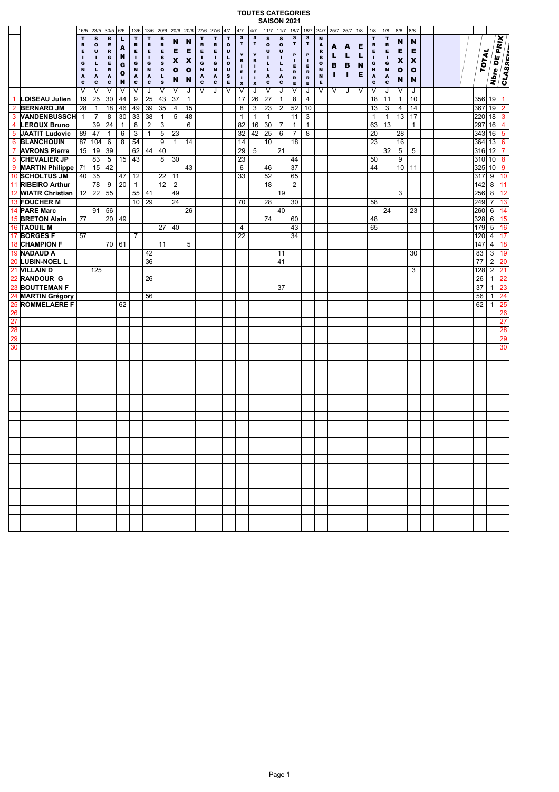## **TOUTES CATEGORIES SAISON 2021**

|                 |                              | 16/5           | 23/5              | .30/5            | .6/6         |                 | .13/6 .13/6 .20/6   |                  | $.20/6$ $.20/6$           |                           | .27/6            | .27/6             | .4/7                        | .4/7                    | 4/7                   | <b>JAIJUN 4</b><br>11/7 | .11/7             | V4 I<br>18/7    | .18/7            | .24/7             |    | $.25/7$ .25/7 .1/8 |   | .1/8                      | .1/8              | .8/8               | .8/8.        |  |  |           |                                |                |
|-----------------|------------------------------|----------------|-------------------|------------------|--------------|-----------------|---------------------|------------------|---------------------------|---------------------------|------------------|-------------------|-----------------------------|-------------------------|-----------------------|-------------------------|-------------------|-----------------|------------------|-------------------|----|--------------------|---|---------------------------|-------------------|--------------------|--------------|--|--|-----------|--------------------------------|----------------|
|                 |                              | $\mathbf T$    | $\mathbf s$       | в                | п            | T               | $\mathbf T$         | в                |                           |                           | T                | $\mathbf T$       | $\mathbf T$                 | $\mathbf{s}$            | $\mathbf s$           | $\mathbf{s}$            | $\mathbf s$       | s               | $\mathbf{s}$     | N                 |    |                    |   | $\mathbf T$               | $\mathbf T$       |                    |              |  |  |           | Nbre DE PRIX                   |                |
|                 |                              | R              | $\mathbf{o}$      | Е                | A            | R               | $\mathbf R$         | R                | N                         | N                         | $\, {\bf R}$     | $\mathbf R$       | $\mathbf{o}$                | T                       | $\mathbf T$           | $\mathbf{o}$            | $\mathbf{o}$      | $\mathbf T$     | $\mathbf T$      | А                 | A  | A                  | Е | $\mathbf R$               | $\, {\bf R}$      | N                  | N            |  |  |           |                                |                |
|                 |                              | Е              | U                 | R                | N            | Е               | Е                   | Е                | Е                         | Е                         | Е                | Е                 | $\mathbf{U}$                | Y                       | Y                     | U                       | $\mathbf{U}$      | P               | P                | R                 | L  | L                  | L | Е                         | Е                 | Е                  | Е            |  |  |           |                                |                |
|                 |                              | п<br>G         | п<br>L            | G<br>Е           | G            | т.<br>G         | $\blacksquare$<br>G | s<br>$\mathbf s$ | $\boldsymbol{\mathsf{x}}$ | $\boldsymbol{\mathsf{x}}$ | п<br>G           | ٠<br>G            | L<br>$\bullet$              | R                       | $\, {\bf R}$          | п<br>L                  | л.<br>L           | $\mathbf I$     | л.               | в<br>$\mathbf{o}$ | в  | в                  | N | т.<br>G                   | $\mathbf{I}$<br>G | $\pmb{\mathsf{x}}$ | X            |  |  |           |                                |                |
|                 |                              | N              | $\mathbf{L}$      | $\, {\bf R}$     | $\bullet$    | N               | $\,$ $\,$           | $\mathbf{o}$     | o                         | $\bullet$                 | $\mathbf N$      | $\,$ $\,$         | $\mathbf{U}$                | $\mathbf{I}$<br>E.      | T.<br>E               | $\mathbf{L}$            | г                 | E.<br>R         | E<br>$\mathbf R$ | N                 |    |                    |   | $\boldsymbol{\mathsf{N}}$ | $\,$ $\,$         | $\mathbf o$        | $\mathbf{o}$ |  |  | TOTAL     |                                |                |
|                 |                              | A<br>C         | A<br>$\mathbf{c}$ | A<br>$\mathbf c$ | N            | A<br>c          | A<br>$\mathbf{c}$   | L<br>$\mathbf s$ | N                         | N                         | А<br>$\mathbf c$ | A<br>$\mathbf{c}$ | $\mathbf{s}$<br>$\mathbf E$ | $\mathbf{I}$            | T.                    | $\,$ A<br>$\mathbf{c}$  | A<br>$\mathbf{c}$ | $\, {\bf R} \,$ | $\mathbf R$      | N<br>Е            | т. | T.                 | Е | A<br>c                    | A<br>$\mathbf{c}$ | N                  | N            |  |  |           |                                | CLASSEN        |
|                 |                              | V              | V                 | V                | V            | $\vee$          | J                   | $\vee$           | V                         | J                         | V                | J                 | $\vee$                      | $\pmb{\mathsf{x}}$<br>V | $\boldsymbol{x}$<br>J | V                       | J                 | E<br>V          | E<br>J           | V                 | V  | J                  | V | V                         | J                 | V                  | J            |  |  |           |                                |                |
| 1               | <b>LOISEAU Julien</b>        | 19             | $\overline{25}$   | 30               | 44           | 9               | 25                  | 43               | 37                        | $\mathbf{1}$              |                  |                   |                             | 17                      | 26                    | $\overline{27}$         | $\mathbf{1}$      | $\overline{8}$  | $\overline{4}$   |                   |    |                    |   | 18                        | 11                | $\mathbf{1}$       | 10           |  |  | 356       | 19                             | 1.             |
| $\overline{2}$  | <b>BERNARD JM</b>            | 28             | $\mathbf{1}$      | 18               | 46           | 49              | 39                  | $\overline{35}$  | 4                         | 15                        |                  |                   |                             | 8                       | $\mathbf{3}$          | $\overline{23}$         | $\overline{2}$    | 52              | 10               |                   |    |                    |   | 13                        | 3                 | 4                  | 14           |  |  | 367       | 19                             | $\overline{2}$ |
| 3               | <b>VANDENBUSSCH</b>          | $\overline{1}$ | $\overline{7}$    | 8                | 30           | 33              | $\overline{38}$     | $\mathbf{1}$     | 5                         | 48                        |                  |                   |                             | $\mathbf{1}$            | $\mathbf{1}$          | $\mathbf{1}$            |                   | 11              | 3                |                   |    |                    |   | $\mathbf{1}$              | $\mathbf{1}$      | 13                 | 17           |  |  | 220       | 18                             | 3              |
| 4               | <b>LEROUX Bruno</b>          |                | 39                | 24               | $\mathbf{1}$ | 8               | $\sqrt{2}$          | 3                |                           | 6                         |                  |                   |                             | 82                      | 16                    | 30                      | $\overline{7}$    | $\mathbf{1}$    | $\mathbf{1}$     |                   |    |                    |   | 63                        | 13                |                    | $\mathbf{1}$ |  |  | 297       | 16                             | 4              |
| 5               | <b>JAATIT Ludovic</b>        | 89             | 47                | $\mathbf{1}$     | 6            | 3               | $\mathbf{1}$        | 5                | 23                        |                           |                  |                   |                             | 32                      | 42                    | 25                      | 6                 | $\overline{7}$  | 8                |                   |    |                    |   | 20                        |                   | 28                 |              |  |  | 343       | 16                             | 5              |
| 6               | <b>BLANCHOUIN</b>            | 87             | 104               | 6                | 8            | 54              |                     | 9                | $\mathbf{1}$              | 14                        |                  |                   |                             | 14                      |                       | 10                      |                   | 18              |                  |                   |    |                    |   | 23                        |                   | 16                 |              |  |  | 364       | 13                             | 6              |
| $\overline{7}$  | <b>AVRONS Pierre</b>         | 15             | 19                | 39               |              | 62              | 44                  | 40               |                           |                           |                  |                   |                             | 29                      | 5                     |                         | 21                |                 |                  |                   |    |                    |   |                           | 32                | 5                  | 5            |  |  | 316       | 12                             | $\overline{7}$ |
| 8               | <b>CHEVALIER JP</b>          |                | 83                | 5                | 15           | 43              |                     | 8                | 30                        |                           |                  |                   |                             | 23                      |                       |                         |                   | 44              |                  |                   |    |                    |   | 50                        |                   | 9                  |              |  |  | 310       | 10                             | 8              |
| 9               | <b>MARTIN Philippe</b>       | 71             | 15                | 42               |              |                 |                     |                  |                           | 43                        |                  |                   |                             | 6                       |                       | 46                      |                   | 37              |                  |                   |    |                    |   | 44                        |                   | 10                 | 11           |  |  | 325       | 10                             | 9              |
|                 | 10 SCHOLTUS JM               | 40             | 35                |                  | 47           | 12              |                     | 22               | 11                        |                           |                  |                   |                             | 33                      |                       | 52                      |                   | 65              |                  |                   |    |                    |   |                           |                   |                    |              |  |  | 317       | 9                              | 10             |
|                 | 11 RIBEIRO Arthur            |                | 78                | 9                | 20           | $\mathbf{1}$    |                     | $\overline{12}$  | $\overline{2}$            |                           |                  |                   |                             |                         |                       | 18                      |                   | $\overline{2}$  |                  |                   |    |                    |   |                           |                   |                    |              |  |  | 142       | 8                              | 11             |
|                 | 12 WIATR Christian           | 12             | 22                | 55               |              | 55              | 41                  |                  | 49                        |                           |                  |                   |                             |                         |                       |                         | 19                |                 |                  |                   |    |                    |   |                           |                   | 3                  |              |  |  | 256       | 8                              | 12             |
|                 | 13 FOUCHER M                 |                |                   |                  |              | 10 <sup>1</sup> | 29                  |                  | 24                        |                           |                  |                   |                             | 70                      |                       | 28                      |                   | 30              |                  |                   |    |                    |   | 58                        |                   |                    |              |  |  | 249       | $\overline{7}$                 | 13             |
|                 | 14 PARE Marc                 |                | 91                | 56               |              |                 |                     |                  |                           | 26                        |                  |                   |                             |                         |                       |                         | 40                |                 |                  |                   |    |                    |   |                           | 24                |                    | 23           |  |  | 260       | 6                              | 14             |
|                 | 15 BRETON Alain              | 77             |                   | 20               | 49           |                 |                     |                  |                           |                           |                  |                   |                             |                         |                       | 74                      |                   | 60              |                  |                   |    |                    |   | 48                        |                   |                    |              |  |  | 328       | 6                              | 15             |
|                 | <b>16 TAOUIL M</b>           |                |                   |                  |              |                 |                     | 27               | 40                        |                           |                  |                   |                             | 4                       |                       |                         |                   | 43              |                  |                   |    |                    |   | 65                        |                   |                    |              |  |  | 179       | 5                              | 16             |
| 17              | <b>BORGES F</b>              | 57             |                   |                  |              | $\overline{7}$  |                     |                  |                           |                           |                  |                   |                             | 22                      |                       |                         |                   | 34              |                  |                   |    |                    |   |                           |                   |                    |              |  |  | 120       | 4                              | 17             |
|                 | <b>18 CHAMPION F</b>         |                |                   | 70 61            |              |                 |                     | 11               |                           | 5                         |                  |                   |                             |                         |                       |                         |                   |                 |                  |                   |    |                    |   |                           |                   |                    |              |  |  | 147       | 4                              | 18             |
|                 | 19 NADAUD A                  |                |                   |                  |              |                 | 42                  |                  |                           |                           |                  |                   |                             |                         |                       |                         | 11                |                 |                  |                   |    |                    |   |                           |                   |                    | 30           |  |  | 83        | 3                              | 19             |
|                 | 20 LUBIN-NOEL L              |                |                   |                  |              |                 | 36                  |                  |                           |                           |                  |                   |                             |                         |                       |                         | 41                |                 |                  |                   |    |                    |   |                           |                   |                    |              |  |  | 77        | 2                              | 20             |
|                 | 21 VILLAIN D<br>22 RANDOUR G |                | 125               |                  |              |                 | 26                  |                  |                           |                           |                  |                   |                             |                         |                       |                         |                   |                 |                  |                   |    |                    |   |                           |                   |                    | 3            |  |  | 128<br>26 | $\overline{2}$<br>$\mathbf{1}$ | 21<br>22       |
|                 | 23 BOUTTEMAN F               |                |                   |                  |              |                 |                     |                  |                           |                           |                  |                   |                             |                         |                       |                         | 37                |                 |                  |                   |    |                    |   |                           |                   |                    |              |  |  | 37        | $\mathbf{1}$                   | 23             |
|                 | 24 MARTIN Grégory            |                |                   |                  |              |                 | 56                  |                  |                           |                           |                  |                   |                             |                         |                       |                         |                   |                 |                  |                   |    |                    |   |                           |                   |                    |              |  |  | 56        | $\mathbf{1}$                   | 24             |
| 25              | <b>ROMMELAERE F</b>          |                |                   |                  | 62           |                 |                     |                  |                           |                           |                  |                   |                             |                         |                       |                         |                   |                 |                  |                   |    |                    |   |                           |                   |                    |              |  |  | 62        | $\mathbf{1}$                   | 25             |
| 26              |                              |                |                   |                  |              |                 |                     |                  |                           |                           |                  |                   |                             |                         |                       |                         |                   |                 |                  |                   |    |                    |   |                           |                   |                    |              |  |  |           |                                | 26             |
| 27              |                              |                |                   |                  |              |                 |                     |                  |                           |                           |                  |                   |                             |                         |                       |                         |                   |                 |                  |                   |    |                    |   |                           |                   |                    |              |  |  |           |                                | 27             |
| $\overline{28}$ |                              |                |                   |                  |              |                 |                     |                  |                           |                           |                  |                   |                             |                         |                       |                         |                   |                 |                  |                   |    |                    |   |                           |                   |                    |              |  |  |           |                                | 28             |
| $\overline{29}$ |                              |                |                   |                  |              |                 |                     |                  |                           |                           |                  |                   |                             |                         |                       |                         |                   |                 |                  |                   |    |                    |   |                           |                   |                    |              |  |  |           |                                | 29             |
| 30              |                              |                |                   |                  |              |                 |                     |                  |                           |                           |                  |                   |                             |                         |                       |                         |                   |                 |                  |                   |    |                    |   |                           |                   |                    |              |  |  |           |                                | 30             |
|                 |                              |                |                   |                  |              |                 |                     |                  |                           |                           |                  |                   |                             |                         |                       |                         |                   |                 |                  |                   |    |                    |   |                           |                   |                    |              |  |  |           |                                |                |
|                 |                              |                |                   |                  |              |                 |                     |                  |                           |                           |                  |                   |                             |                         |                       |                         |                   |                 |                  |                   |    |                    |   |                           |                   |                    |              |  |  |           |                                |                |
|                 |                              |                |                   |                  |              |                 |                     |                  |                           |                           |                  |                   |                             |                         |                       |                         |                   |                 |                  |                   |    |                    |   |                           |                   |                    |              |  |  |           |                                |                |
|                 |                              |                |                   |                  |              |                 |                     |                  |                           |                           |                  |                   |                             |                         |                       |                         |                   |                 |                  |                   |    |                    |   |                           |                   |                    |              |  |  |           |                                |                |
|                 |                              |                |                   |                  |              |                 |                     |                  |                           |                           |                  |                   |                             |                         |                       |                         |                   |                 |                  |                   |    |                    |   |                           |                   |                    |              |  |  |           |                                |                |
|                 |                              |                |                   |                  |              |                 |                     |                  |                           |                           |                  |                   |                             |                         |                       |                         |                   |                 |                  |                   |    |                    |   |                           |                   |                    |              |  |  |           |                                |                |
|                 |                              |                |                   |                  |              |                 |                     |                  |                           |                           |                  |                   |                             |                         |                       |                         |                   |                 |                  |                   |    |                    |   |                           |                   |                    |              |  |  |           |                                |                |
|                 |                              |                |                   |                  |              |                 |                     |                  |                           |                           |                  |                   |                             |                         |                       |                         |                   |                 |                  |                   |    |                    |   |                           |                   |                    |              |  |  |           |                                |                |
|                 |                              |                |                   |                  |              |                 |                     |                  |                           |                           |                  |                   |                             |                         |                       |                         |                   |                 |                  |                   |    |                    |   |                           |                   |                    |              |  |  |           |                                |                |
|                 |                              |                |                   |                  |              |                 |                     |                  |                           |                           |                  |                   |                             |                         |                       |                         |                   |                 |                  |                   |    |                    |   |                           |                   |                    |              |  |  |           |                                |                |
|                 |                              |                |                   |                  |              |                 |                     |                  |                           |                           |                  |                   |                             |                         |                       |                         |                   |                 |                  |                   |    |                    |   |                           |                   |                    |              |  |  |           |                                |                |
|                 |                              |                |                   |                  |              |                 |                     |                  |                           |                           |                  |                   |                             |                         |                       |                         |                   |                 |                  |                   |    |                    |   |                           |                   |                    |              |  |  |           |                                |                |
|                 |                              |                |                   |                  |              |                 |                     |                  |                           |                           |                  |                   |                             |                         |                       |                         |                   |                 |                  |                   |    |                    |   |                           |                   |                    |              |  |  |           |                                |                |
|                 |                              |                |                   |                  |              |                 |                     |                  |                           |                           |                  |                   |                             |                         |                       |                         |                   |                 |                  |                   |    |                    |   |                           |                   |                    |              |  |  |           |                                |                |
|                 |                              |                |                   |                  |              |                 |                     |                  |                           |                           |                  |                   |                             |                         |                       |                         |                   |                 |                  |                   |    |                    |   |                           |                   |                    |              |  |  |           |                                |                |
|                 |                              |                |                   |                  |              |                 |                     |                  |                           |                           |                  |                   |                             |                         |                       |                         |                   |                 |                  |                   |    |                    |   |                           |                   |                    |              |  |  |           |                                |                |
|                 |                              |                |                   |                  |              |                 |                     |                  |                           |                           |                  |                   |                             |                         |                       |                         |                   |                 |                  |                   |    |                    |   |                           |                   |                    |              |  |  |           |                                |                |
|                 |                              |                |                   |                  |              |                 |                     |                  |                           |                           |                  |                   |                             |                         |                       |                         |                   |                 |                  |                   |    |                    |   |                           |                   |                    |              |  |  |           |                                |                |
|                 |                              |                |                   |                  |              |                 |                     |                  |                           |                           |                  |                   |                             |                         |                       |                         |                   |                 |                  |                   |    |                    |   |                           |                   |                    |              |  |  |           |                                |                |
|                 |                              |                |                   |                  |              |                 |                     |                  |                           |                           |                  |                   |                             |                         |                       |                         |                   |                 |                  |                   |    |                    |   |                           |                   |                    |              |  |  |           |                                |                |
|                 |                              |                |                   |                  |              |                 |                     |                  |                           |                           |                  |                   |                             |                         |                       |                         |                   |                 |                  |                   |    |                    |   |                           |                   |                    |              |  |  |           |                                |                |